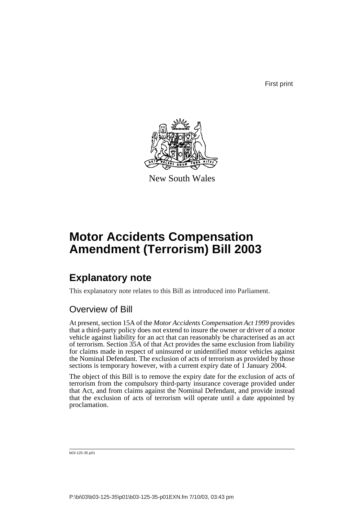First print



New South Wales

## **Motor Accidents Compensation Amendment (Terrorism) Bill 2003**

## **Explanatory note**

This explanatory note relates to this Bill as introduced into Parliament.

### Overview of Bill

At present, section 15A of the *Motor Accidents Compensation Act 1999* provides that a third-party policy does not extend to insure the owner or driver of a motor vehicle against liability for an act that can reasonably be characterised as an act of terrorism. Section 35A of that Act provides the same exclusion from liability for claims made in respect of uninsured or unidentified motor vehicles against the Nominal Defendant. The exclusion of acts of terrorism as provided by those sections is temporary however, with a current expiry date of 1 January 2004.

The object of this Bill is to remove the expiry date for the exclusion of acts of terrorism from the compulsory third-party insurance coverage provided under that Act, and from claims against the Nominal Defendant, and provide instead that the exclusion of acts of terrorism will operate until a date appointed by proclamation.

b03-125-35.p01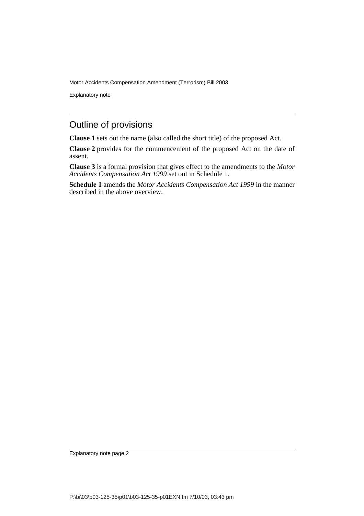Motor Accidents Compensation Amendment (Terrorism) Bill 2003

Explanatory note

#### Outline of provisions

**Clause 1** sets out the name (also called the short title) of the proposed Act.

**Clause 2** provides for the commencement of the proposed Act on the date of assent.

**Clause 3** is a formal provision that gives effect to the amendments to the *Motor Accidents Compensation Act 1999* set out in Schedule 1.

**Schedule 1** amends the *Motor Accidents Compensation Act 1999* in the manner described in the above overview.

Explanatory note page 2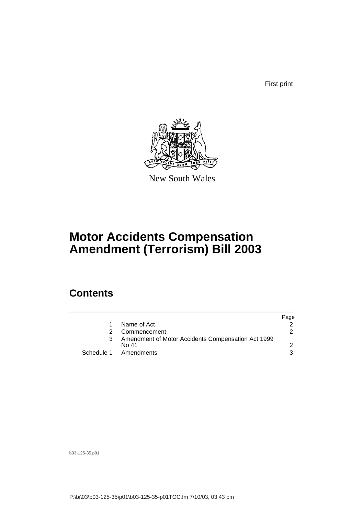First print



New South Wales

## **Motor Accidents Compensation Amendment (Terrorism) Bill 2003**

### **Contents**

|                                                             | Page |
|-------------------------------------------------------------|------|
| Name of Act                                                 |      |
| Commencement                                                | 2    |
| Amendment of Motor Accidents Compensation Act 1999<br>No 41 |      |
| Schedule 1 Amendments                                       | 3    |

b03-125-35.p01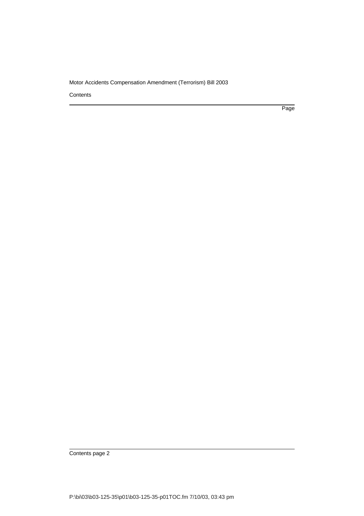#### Motor Accidents Compensation Amendment (Terrorism) Bill 2003

**Contents** 

Page

Contents page 2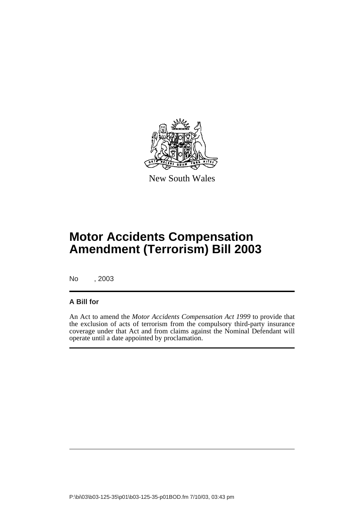

New South Wales

# **Motor Accidents Compensation Amendment (Terrorism) Bill 2003**

No , 2003

#### **A Bill for**

An Act to amend the *Motor Accidents Compensation Act 1999* to provide that the exclusion of acts of terrorism from the compulsory third-party insurance coverage under that Act and from claims against the Nominal Defendant will operate until a date appointed by proclamation.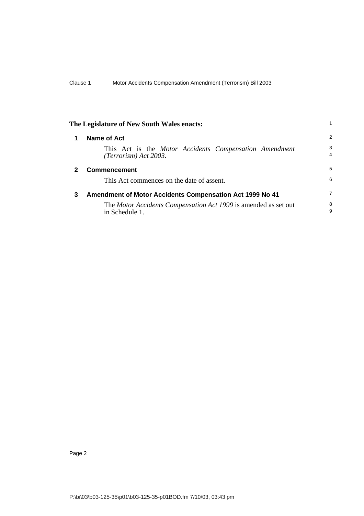<span id="page-5-2"></span><span id="page-5-1"></span><span id="page-5-0"></span>

|   | The Legislature of New South Wales enacts:                                        |                     |
|---|-----------------------------------------------------------------------------------|---------------------|
| 1 | Name of Act                                                                       | 2                   |
|   | This Act is the Motor Accidents Compensation Amendment<br>$(Terrorism)$ Act 2003. | 3<br>$\overline{4}$ |
|   | <b>Commencement</b>                                                               | 5                   |
|   | This Act commences on the date of assent.                                         | 6                   |
| 3 | Amendment of Motor Accidents Compensation Act 1999 No 41                          | $\overline{7}$      |
|   | The Motor Accidents Compensation Act 1999 is amended as set out<br>in Schedule 1. | 8<br>9              |